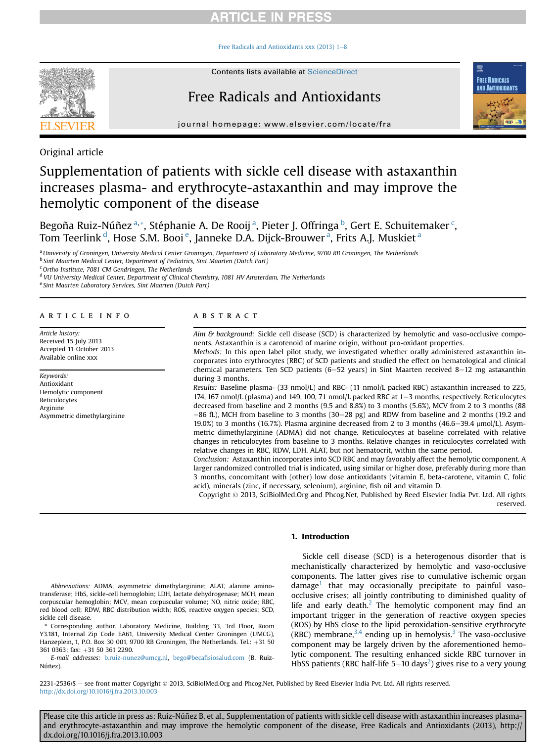## **ARTICLE IN PRESS**

Free Radicals and Antioxidants xxx (2013)  $1-8$  $1-8$ 



# Free Radicals and Antioxidants



journal homepage: [www.elsevier.com/locate/fra](http://www.elsevier.com/locate/fra)

Original article

# Supplementation of patients with sickle cell disease with astaxanthin increases plasma- and erythrocyte-astaxanthin and may improve the hemolytic component of the disease

Begoña Ruiz-Núñez <sup>a, \*</sup>, Stéphanie A. De Rooij <sup>a</sup>, Pieter J. Offringa <sup>b</sup>, Gert E. Schuitemaker <sup>c</sup>, Tom Teerlink <sup>d</sup>, Hose S.M. Booi <sup>e</sup>, Janneke D.A. Dijck-Brouwer <sup>a</sup>, Frits A.J. Muskiet <sup>a</sup>

a University of Groningen, University Medical Center Groningen, Department of Laboratory Medicine, 9700 RB Groningen, The Netherlands b Sint Maarten Medical Center, Department of Pediatrics, Sint Maarten (Dutch Part)

c Ortho Institute, 7081 CM Gendringen, The Netherlands

<sup>d</sup> VU University Medical Center, Department of Clinical Chemistry, 1081 HV Amsterdam, The Netherlands

<sup>e</sup> Sint Maarten Laboratory Services, Sint Maarten (Dutch Part)

#### article info

Article history: Received 15 July 2013 Accepted 11 October 2013 Available online xxx

Keywords: Antioxidant Hemolytic component Reticulocytes Arginine Asymmetric dimethylarginine

#### **ABSTRACT**

Aim & background: Sickle cell disease (SCD) is characterized by hemolytic and vaso-occlusive components. Astaxanthin is a carotenoid of marine origin, without pro-oxidant properties.

Methods: In this open label pilot study, we investigated whether orally administered astaxanthin incorporates into erythrocytes (RBC) of SCD patients and studied the effect on hematological and clinical chemical parameters. Ten SCD patients  $(6-52$  years) in Sint Maarten received 8-12 mg astaxanthin during 3 months.

Results: Baseline plasma- (33 nmol/L) and RBC- (11 nmol/L packed RBC) astaxanthin increased to 225, 174, 167 nmol/L (plasma) and 149, 100, 71 nmol/L packed RBC at 1-3 months, respectively. Reticulocytes decreased from baseline and 2 months (9.5 and 8.8%) to 3 months (5.6%), MCV from 2 to 3 months (88  $-86$  fL), MCH from baseline to 3 months (30-28 pg) and RDW from baseline and 2 months (19.2 and 19.0%) to 3 months (16.7%). Plasma arginine decreased from 2 to 3 months (46.6–39.4  $\mu$ mol/L). Asymmetric dimethylarginine (ADMA) did not change. Reticulocytes at baseline correlated with relative changes in reticulocytes from baseline to 3 months. Relative changes in reticulocytes correlated with relative changes in RBC, RDW, LDH, ALAT, but not hematocrit, within the same period.

Conclusion: Astaxanthin incorporates into SCD RBC and may favorably affect the hemolytic component. A larger randomized controlled trial is indicated, using similar or higher dose, preferably during more than 3 months, concomitant with (other) low dose antioxidants (vitamin E, beta-carotene, vitamin C, folic acid), minerals (zinc, if necessary, selenium), arginine, fish oil and vitamin D.

Copyright 2013, SciBiolMed.Org and Phcog.Net, Published by Reed Elsevier India Pvt. Ltd. All rights reserved.

### 1. Introduction

Abbreviations: ADMA, asymmetric dimethylarginine; ALAT, alanine aminotransferase; HbS, sickle-cell hemoglobin; LDH, lactate dehydrogenase; MCH, mean corpuscular hemoglobin; MCV, mean corpuscular volume; NO, nitric oxide; RBC, red blood cell; RDW, RBC distribution width; ROS, reactive oxygen species; SCD, sickle cell disease.

Sickle cell disease (SCD) is a heterogenous disorder that is mechanistically characterized by hemolytic and vaso-occlusive components. The latter gives rise to cumulative ischemic organ  $d$ amage<sup>1</sup> that may occasionally precipitate to painful vasoocclusive crises; all jointly contributing to diminished quality of life and early death. $<sup>2</sup>$  The hemolytic component may find an</sup> important trigger in the generation of reactive oxygen species (ROS) by HbS close to the lipid peroxidation-sensitive erythrocyte (RBC) membrane,  $3,4$  ending up in hemolysis.<sup>[3](#page-6-0)</sup> The vaso-occlusive component may be largely driven by the aforementioned hemolytic component. The resulting enhanced sickle RBC turnover in HbSS patients (RBC half-life 5–10 days<sup>2</sup>) gives rise to a very young

2231-2536/\$ - see front matter Copyright © 2013, SciBiolMed.Org and Phcog.Net, Published by Reed Elsevier India Pvt. Ltd. All rights reserved. <http://dx.doi.org/10.1016/j.fra.2013.10.003>

Corresponding author. Laboratory Medicine, Building 33, 3rd Floor, Room Y3.181, Internal Zip Code EA61, University Medical Center Groningen (UMCG), Hanzeplein, 1, P.O. Box 30 001, 9700 RB Groningen, The Netherlands. Tel.:  $+31$  50 361 0363; fax: +31 50 361 2290.

E-mail addresses: [b.ruiz-nunez@umcg.nl](mailto:b.ruiz-nunez@umcg.nl), bego@becafi[siosalud.com](mailto:bego@becafisiosalud.com) (B. Ruiz-Núñez).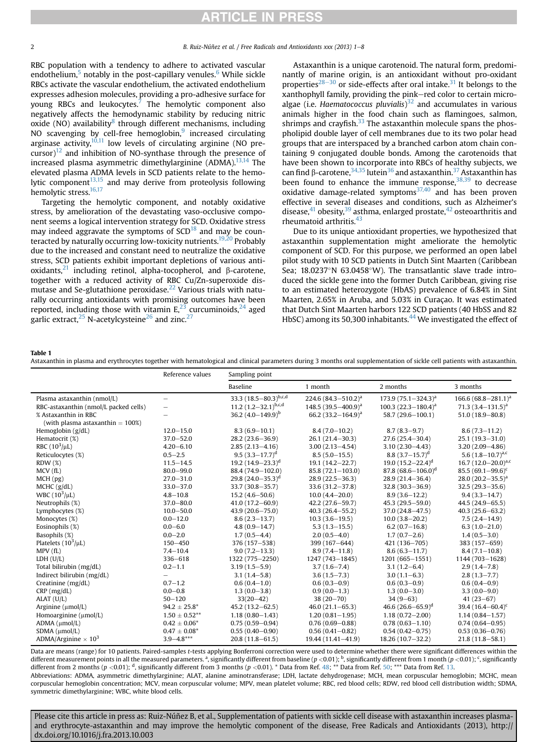## **RTICLE IN PRESS**

<span id="page-1-0"></span>2 B. Ruiz-Núñez et al. / Free Radicals and Antioxidants xxx (2013) 1–8

RBC population with a tendency to adhere to activated vascular endothelium, $5$  notably in the post-capillary venules.<sup>[6](#page-6-0)</sup> While sickle RBCs activate the vascular endothelium, the activated endothelium expresses adhesion molecules, providing a pro-adhesive surface for young RBCs and leukocytes.<sup>7</sup> The hemolytic component also negatively affects the hemodynamic stability by reducing nitric oxide (NO) availability $8$  through different mechanisms, including NO scavenging by cell-free hemoglobin,<sup>9</sup> increased circulating arginase activity, $10,11$  low levels of circulating arginine (NO pre- $(curstor)^{12}$  $(curstor)^{12}$  $(curstor)^{12}$  and inhibition of NO-synthase through the presence of increased plasma asymmetric dimethylarginine (ADMA). $13,14$  The elevated plasma ADMA levels in SCD patients relate to the hemolytic component $13,15$  and may derive from proteolysis following hemolytic stress.<sup>16,17</sup>

Targeting the hemolytic component, and notably oxidative stress, by amelioration of the devastating vaso-occlusive component seems a logical intervention strategy for SCD. Oxidative stress may indeed aggravate the symptoms of  $SCD<sup>18</sup>$  $SCD<sup>18</sup>$  $SCD<sup>18</sup>$  and may be counteracted by naturally occurring low-toxicity nutrients.<sup>19,20</sup> Probably due to the increased and constant need to neutralize the oxidative stress, SCD patients exhibit important depletions of various antioxidants, $21$  including retinol, alpha-tocopherol, and  $\beta$ -carotene, together with a reduced activity of RBC Cu/Zn-superoxide dis-mutase and Se-glutathione peroxidase.<sup>[22](#page-6-0)</sup> Various trials with naturally occurring antioxidants with promising outcomes have been reported, including those with vitamin  $E<sub>1</sub><sup>23</sup>$  curcuminoids,<sup>[24](#page-6-0)</sup> aged garlic extract,  $25$  N-acetylcysteine  $26$  and zinc.  $27$ 

symmetric dimethylarginine; WBC, white blood cells.

Astaxanthin is a unique carotenoid. The natural form, predominantly of marine origin, is an antioxidant without pro-oxidant properties $^{28-30}$  $^{28-30}$  $^{28-30}$  $^{28-30}$  $^{28-30}$  or side-effects after oral intake.<sup>[31](#page-7-0)</sup> It belongs to the xanthophyll family, providing the pink-red color to certain microalgae (i.e. *Haematococcus pluvialis*) $32$  and accumulates in various animals higher in the food chain such as flamingoes, salmon, shrimps and crayfish. $33$  The astaxanthin molecule spans the phospholipid double layer of cell membranes due to its two polar head groups that are interspaced by a branched carbon atom chain containing 9 conjugated double bonds. Among the carotenoids that have been shown to incorporate into RBCs of healthy subjects, we can find  $\beta$ -carotene,  $34,35$  lutein  $36$  and astaxanthin.  $37$  Astaxanthin has been found to enhance the immune response,  $38,39$  to decrease oxidative damage-related symptoms $37,40$  and has been proven effective in several diseases and conditions, such as Alzheimer's disease, $41$  obesity, $39$  asthma, enlarged prostate, $42$  osteoarthritis and rheumatoid arthritis.<sup>[43](#page-7-0)</sup>

Due to its unique antioxidant properties, we hypothesized that astaxanthin supplementation might ameliorate the hemolytic component of SCD. For this purpose, we performed an open label pilot study with 10 SCD patients in Dutch Sint Maarten (Caribbean Sea;  $18.0237^{\circ}$ N 63.0458 $^{\circ}$ W). The transatlantic slave trade introduced the sickle gene into the former Dutch Caribbean, giving rise to an estimated heterozygote (HbAS) prevalence of 6.84% in Sint Maarten, 2.65% in Aruba, and 5.03% in Curaçao. It was estimated that Dutch Sint Maarten harbors 122 SCD patients (40 HbSS and 82 HbSC) among its 50,300 inhabitants.<sup>[44](#page-7-0)</sup> We investigated the effect of

#### Table 1

Astaxanthin in plasma and erythrocytes together with hematological and clinical parameters during 3 months oral supplementation of sickle cell patients with astaxanthin.

|                                        | Reference values         | Sampling point               |                                 |                          |                          |
|----------------------------------------|--------------------------|------------------------------|---------------------------------|--------------------------|--------------------------|
|                                        |                          | Baseline                     | 1 month                         | 2 months                 | 3 months                 |
| Plasma astaxanthin (nmol/L)            | $\qquad \qquad -$        | 33.3 $(18.5 - 80.3)^{b,c,d}$ | 224.6 $(84.3 - 510.2)^a$        | 173.9 $(75.1 - 324.3)^a$ | 166.6 $(68.8 - 281.1)^a$ |
| RBC-astaxanthin (nmol/L packed cells)  | $\overline{\phantom{0}}$ | 11.2 $(1.2-32.1)^{b,c,d}$    | 148.5 (39.5-400.9) <sup>a</sup> | 100.3 $(22.3 - 180.4)^a$ | 71.3 $(3.4 - 131.5)^a$   |
| % Astaxanthin in RBC                   |                          | 36.2 $(4.0-149.9)^{b}$       | 66.2 $(33.2 - 164.9)^a$         | 58.7 (29.6-100.1)        | $51.0(18.9 - 80.8)$      |
| (with plasma astaxanthin $= 100\%)$    |                          |                              |                                 |                          |                          |
| Hemoglobin (g/dL)                      | $12.0 - 15.0$            | $8.3(6.9 - 10.1)$            | $8.4(7.0-10.2)$                 | $8.7(8.3 - 9.7)$         | $8.6(7.3 - 11.2)$        |
| Hematocrit (%)                         | $37.0 - 52.0$            | $28.2(23.6 - 36.9)$          | $26.1(21.4-30.3)$               | $27.6(25.4 - 30.4)$      | $25.1(19.3 - 31.0)$      |
| RBC $(10^3/\mu L)$                     | $4.20 - 6.10$            | $2.85(2.13 - 4.16)$          | $3.00(2.13 - 4.54)$             | $3.10(2.30 - 4.43)$      | $3.20(2.09 - 4.86)$      |
| Reticulocytes (%)                      | $0.5 - 2.5$              | $9.5(3.3 - 17.7)^d$          | $8.5(5.0 - 15.5)$               | 8.8 $(3.7-15.7)^d$       | 5.6 $(1.8-10.7)^{a,c}$   |
| RDW(%)                                 | $11.5 - 14.5$            | 19.2 $(14.9 - 23.3)^d$       | $19.1(14.2 - 22.7)$             | 19.0 $(15.2 - 22.4)^d$   | 16.7 $(12.0-20.0)^{a,c}$ |
| MCV(fL)                                | $80.0 - 99.0$            | 88.4 (74.9-102.0)            | $85.8(72.1 - 103.0)$            | 87.8 $(68.6 - 106.0)^d$  | 85.5 $(69.1 - 99.6)^c$   |
| MCH (pg)                               | $27.0 - 31.0$            | 29.8 $(24.0-35.3)^d$         | $28.9(22.5 - 36.3)$             | $28.9(21.4 - 36.4)$      | 28.0 $(20.2-35.5)^{a}$   |
| MCHC (g/dL)                            | $33.0 - 37.0$            | 33.7 (30.8-35.7)             | $33.6(31.2 - 37.8)$             | $32.8(30.3 - 36.9)$      | $32.5(29.3 - 35.6)$      |
| WBC $(10^3/\mu L)$                     | $4.8 - 10.8$             | $15.2(4.6 - 50.6)$           | $10.0(4.4 - 20.0)$              | $8.9(3.6 - 12.2)$        | $9.4(3.3 - 14.7)$        |
| Neutrophils (%)                        | $37.0 - 80.0$            | $41.0(17.2 - 60.9)$          | $42.2(27.6 - 59.7)$             | $45.3(29.5 - 59.0)$      | $44.5(24.9 - 65.5)$      |
| Lymphocytes (%)                        | $10.0 - 50.0$            | $43.9(20.6 - 75.0)$          | $40.3(26.4 - 55.2)$             | $37.0(24.8 - 47.5)$      | $40.3(25.6 - 63.2)$      |
| Monocytes (%)                          | $0.0 - 12.0$             | $8.6(2.3 - 13.7)$            | $10.3(3.6 - 19.5)$              | $10.0(3.8 - 20.2)$       | $7.5(2.4 - 14.9)$        |
| Eosinophils (%)                        | $0.0 - 6.0$              | $4.8(0.9 - 14.7)$            | $5.3(1.3 - 15.5)$               | $6.2(0.7-16.8)$          | $6.3(1.0 - 21.0)$        |
| Basophils (%)                          | $0.0 - 2.0$              | $1.7(0.5-4.4)$               | $2.0(0.5-4.0)$                  | $1.7(0.7-2.6)$           | $1.4(0.5-3.0)$           |
| Platelets $(10^3/\mu L)$               | $150 - 450$              | 376 (157-538)                | 399 (167-644)                   | 421 (136-705)            | 383 (157-659)            |
| MPV(fL)                                | $7.4 - 10.4$             | $9.0(7.2 - 13.3)$            | $8.9(7.4 - 11.8)$               | $8.6(6.3 - 11.7)$        | $8.4(7.1 - 10.8)$        |
| LDH (U/L)                              | $336 - 618$              | 1322 (775-2250)              | 1247 (743-1845)                 | 1201 (665-1551)          | 1144 (703-1628)          |
| Total bilirubin (mg/dL)                | $0.2 - 1.1$              | $3.19(1.5 - 5.9)$            | $3.7(1.6 - 7.4)$                | $3.1(1.2 - 6.4)$         | $2.9(1.4 - 7.8)$         |
| Indirect bilirubin (mg/dL)             | $\overline{\phantom{0}}$ | $3.1(1.4 - 5.8)$             | $3.6(1.5 - 7.3)$                | $3.0(1.1 - 6.3)$         | $2.8(1.3 - 7.7)$         |
| Creatinine (mg/dL)                     | $0.7 - 1.2$              | $0.6(0.4-1.0)$               | $0.6(0.3-0.9)$                  | $0.6(0.3-0.9)$           | $0.6(0.4-0.9)$           |
| $CRP$ (mg/dL)                          | $0.0 - 0.8$              | $1.3(0.0 - 3.8)$             | $0.9(0.0-1.3)$                  | $1.3(0.0 - 3.0)$         | $3.3(0.0 - 9.0)$         |
| $ALAT$ (U/L)                           | $50 - 120$               | $33(20 - 42)$                | $38(20 - 70)$                   | $34(9-63)$               | $41(23-67)$              |
| Arginine (umol/L)                      | $94.2 \pm 25.8^*$        | $45.2(13.2 - 62.5)$          | $46.0(21.1 - 65.3)$             | 46.6 $(26.6 - 65.9)^d$   | 39.4 $(16.4 - 60.4)^c$   |
| Homoarginine (µmol/L)                  | $1.50 \pm 0.52***$       | $1.18(0.80 - 1.43)$          | $1.20(0.81 - 1.95)$             | $1.18(0.72 - 2.00)$      | $1.14(0.84 - 1.57)$      |
| ADMA (µmol/L)                          | $0.42 \pm 0.06^*$        | $0.75(0.59 - 0.94)$          | $0.76(0.69 - 0.88)$             | $0.78(0.63 - 1.10)$      | $0.74(0.64 - 0.95)$      |
| SDMA (umol/L)                          | $0.47 \pm 0.08^*$        | $0.55(0.40 - 0.90)$          | $0.56(0.41 - 0.82)$             | $0.54(0.42 - 0.75)$      | $0.53(0.36 - 0.76)$      |
| ADMA/Arginine $\times$ 10 <sup>3</sup> | $3.9 - 4.8***$           | $20.8(11.8 - 61.5)$          | $19.44(11.41 - 41.9)$           | 18.26 (10.7-32.2)        | $21.8(11.8 - 58.1)$      |

Data are means (range) for 10 patients. Paired-samples t-tests applying Bonferroni correction were used to determine whether there were significant differences within the different measurement points in all the measured parameters. <sup>a</sup>, significantly different from baseline (p <0.01); <sup>b</sup>, significantly different from 1 month (p <0.01); <sup>c</sup>, significantly different from 2 months (p <0.01); <sup>d</sup>, significantly different from 3 months (p <0.01). \* Data from Ref. [48](#page-7-0); \*\* Data from Ref. [50](#page-7-0); \*\*\* Data from Ref. [13](#page-6-0). Abbreviations: ADMA, asymmetric dimethylarginine; ALAT, alanine aminotransferase; LDH, lactate dehydrogenase; MCH, mean corpuscular hemoglobin; MCHC, mean corpuscular hemoglobin concentration; MCV, mean corpuscular volume; MPV, mean platelet volume; RBC, red blood cells; RDW, red blood cell distribution width; SDMA,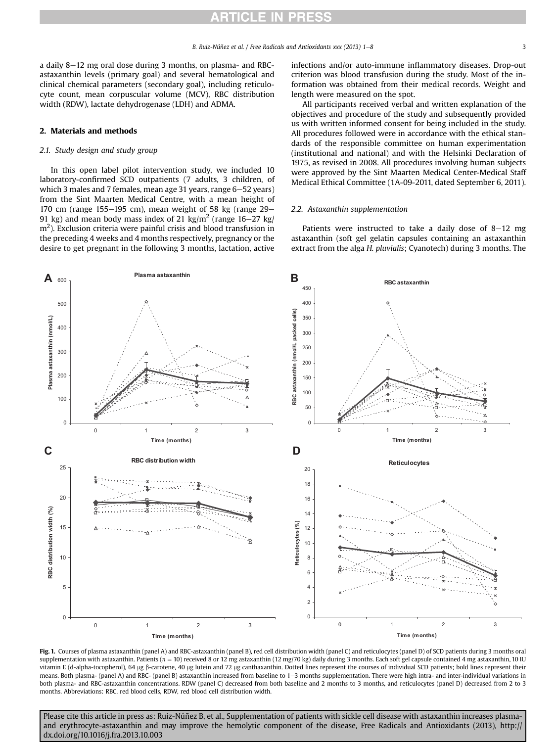<span id="page-2-0"></span>a daily  $8-12$  mg oral dose during 3 months, on plasma- and RBCastaxanthin levels (primary goal) and several hematological and clinical chemical parameters (secondary goal), including reticulocyte count, mean corpuscular volume (MCV), RBC distribution width (RDW), lactate dehydrogenase (LDH) and ADMA.

#### 2. Materials and methods

#### 2.1. Study design and study group

In this open label pilot intervention study, we included 10 laboratory-confirmed SCD outpatients (7 adults, 3 children, of which 3 males and 7 females, mean age 31 years, range 6-52 years) from the Sint Maarten Medical Centre, with a mean height of 170 cm (range 155 $-$ 195 cm), mean weight of 58 kg (range 29 $-$ 91 kg) and mean body mass index of 21 kg/m<sup>2</sup> (range 16–27 kg/  $\text{m}^2$ ). Exclusion criteria were painful crisis and blood transfusion in the preceding 4 weeks and 4 months respectively, pregnancy or the desire to get pregnant in the following 3 months, lactation, active infections and/or auto-immune inflammatory diseases. Drop-out criterion was blood transfusion during the study. Most of the information was obtained from their medical records. Weight and length were measured on the spot.

All participants received verbal and written explanation of the objectives and procedure of the study and subsequently provided us with written informed consent for being included in the study. All procedures followed were in accordance with the ethical standards of the responsible committee on human experimentation (institutional and national) and with the Helsinki Declaration of 1975, as revised in 2008. All procedures involving human subjects were approved by the Sint Maarten Medical Center-Medical Staff Medical Ethical Committee (1A-09-2011, dated September 6, 2011).

#### 2.2. Astaxanthin supplementation

Patients were instructed to take a daily dose of  $8-12$  mg astaxanthin (soft gel gelatin capsules containing an astaxanthin extract from the alga H. pluvialis; Cyanotech) during 3 months. The



Fig. 1. Courses of plasma astaxanthin (panel A) and RBC-astaxanthin (panel B), red cell distribution width (panel C) and reticulocytes (panel D) of SCD patients during 3 months oral supplementation with astaxanthin. Patients ( $n = 10$ ) received 8 or 12 mg astaxanthin (12 mg/70 kg) daily during 3 months. Each soft gel capsule contained 4 mg astaxanthin, 10 IU vitamin E (d-alpha-tocopherol), 64 µg ß-carotene, 40 µg lutein and 72 µg canthaxanthin. Dotted lines represent the courses of individual SCD patients; bold lines represent their means. Both plasma- (panel A) and RBC- (panel B) astaxanthin increased from baseline to 1–3 months supplementation. There were high intra- and inter-individual variations in both plasma- and RBC-astaxanthin concentrations. RDW (panel C) decreased from both baseline and 2 months to 3 months, and reticulocytes (panel D) decreased from 2 to 3 months. Abbreviations: RBC, red blood cells, RDW, red blood cell distribution width.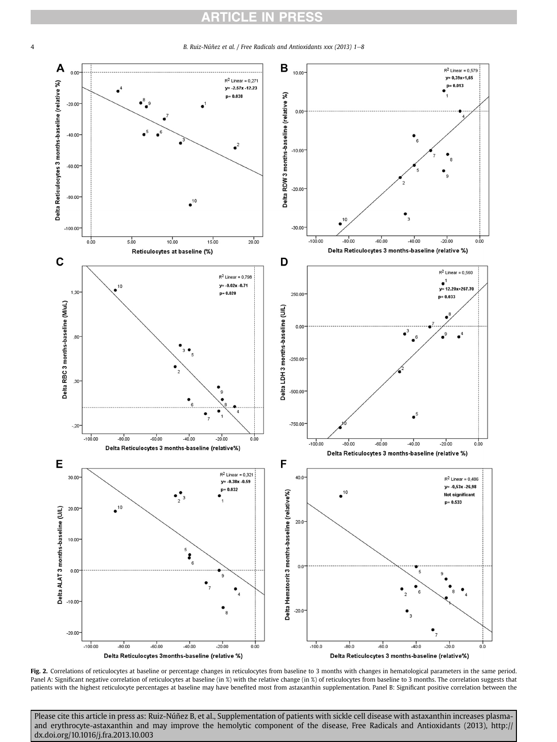## **ARTICLE IN PRESS**

<span id="page-3-0"></span>4 B. Ruiz-Núñez et al. / Free Radicals and Antioxidants xxx (2013) 1–8



Fig. 2. Correlations of reticulocytes at baseline or percentage changes in reticulocytes from baseline to 3 months with changes in hematological parameters in the same period. Panel A: Significant negative correlation of reticulocytes at baseline (in %) with the relative change (in %) of reticulocytes from baseline to 3 months. The correlation suggests that patients with the highest reticulocyte percentages at baseline may have benefited most from astaxanthin supplementation. Panel B: Significant positive correlation between the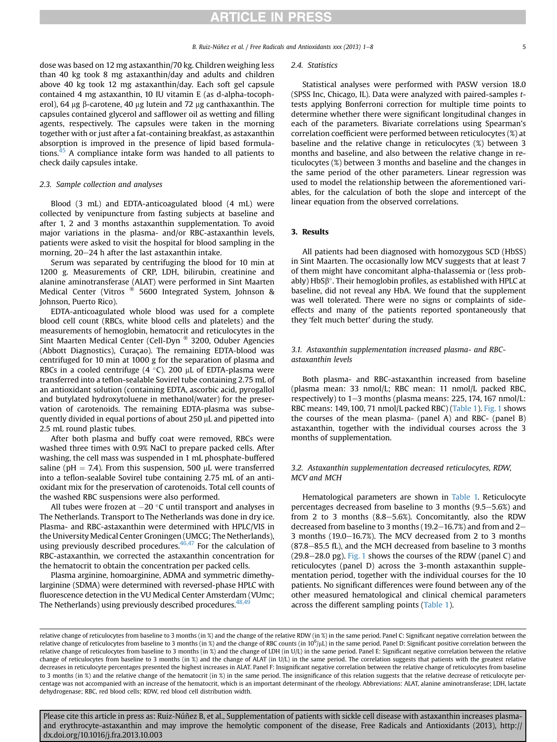dose was based on 12 mg astaxanthin/70 kg. Children weighing less than 40 kg took 8 mg astaxanthin/day and adults and children above 40 kg took 12 mg astaxanthin/day. Each soft gel capsule contained 4 mg astaxanthin, 10 IU vitamin E (as d-alpha-tocopherol), 64  $\mu$ g  $\beta$ -carotene, 40  $\mu$ g lutein and 72  $\mu$ g canthaxanthin. The capsules contained glycerol and safflower oil as wetting and filling agents, respectively. The capsules were taken in the morning together with or just after a fat-containing breakfast, as astaxanthin absorption is improved in the presence of lipid based formulations[.45](#page-7-0) A compliance intake form was handed to all patients to check daily capsules intake.

#### 2.3. Sample collection and analyses

Blood (3 mL) and EDTA-anticoagulated blood (4 mL) were collected by venipuncture from fasting subjects at baseline and after 1, 2 and 3 months astaxanthin supplementation. To avoid major variations in the plasma- and/or RBC-astaxanthin levels, patients were asked to visit the hospital for blood sampling in the morning,  $20-24$  h after the last astaxanthin intake.

Serum was separated by centrifuging the blood for 10 min at 1200 g. Measurements of CRP, LDH, bilirubin, creatinine and alanine aminotransferase (ALAT) were performed in Sint Maarten Medical Center (Vitros ® 5600 Integrated System, Johnson & Johnson, Puerto Rico).

EDTA-anticoagulated whole blood was used for a complete blood cell count (RBCs, white blood cells and platelets) and the measurements of hemoglobin, hematocrit and reticulocytes in the Sint Maarten Medical Center (Cell-Dyn ® 3200, Oduber Agencies (Abbott Diagnostics), Curaçao). The remaining EDTA-blood was centrifuged for 10 min at 1000 g for the separation of plasma and RBCs in a cooled centrifuge (4  $^{\circ}$ C). 200  $\mu$ L of EDTA-plasma were transferred into a teflon-sealable Sovirel tube containing 2.75 mL of an antioxidant solution (containing EDTA, ascorbic acid, pyrogallol and butylated hydroxytoluene in methanol/water) for the preservation of carotenoids. The remaining EDTA-plasma was subsequently divided in equal portions of about 250 µL and pipetted into 2.5 mL round plastic tubes.

After both plasma and buffy coat were removed, RBCs were washed three times with 0.9% NaCl to prepare packed cells. After washing, the cell mass was suspended in 1 mL phosphate-buffered saline (pH = 7.4). From this suspension, 500  $\mu$ L were transferred into a teflon-sealable Sovirel tube containing 2.75 mL of an antioxidant mix for the preservation of carotenoids. Total cell counts of the washed RBC suspensions were also performed.

All tubes were frozen at  $-20$  °C until transport and analyses in The Netherlands. Transport to The Netherlands was done in dry ice. Plasma- and RBC-astaxanthin were determined with HPLC/VIS in the University Medical Center Groningen (UMCG; The Netherlands), using previously described procedures.<sup>46,47</sup> For the calculation of RBC-astaxanthin, we corrected the astaxanthin concentration for the hematocrit to obtain the concentration per packed cells.

Plasma arginine, homoarginine, ADMA and symmetric dimethylarginine (SDMA) were determined with reversed-phase HPLC with fluorescence detection in the VU Medical Center Amsterdam (VUmc; The Netherlands) using previously described procedures.<sup>48,49</sup>

#### 2.4. Statistics

Statistical analyses were performed with PASW version 18.0 (SPSS Inc, Chicago, IL). Data were analyzed with paired-samples ttests applying Bonferroni correction for multiple time points to determine whether there were significant longitudinal changes in each of the parameters. Bivariate correlations using Spearman's correlation coefficient were performed between reticulocytes (%) at baseline and the relative change in reticulocytes (%) between 3 months and baseline, and also between the relative change in reticulocytes (%) between 3 months and baseline and the changes in the same period of the other parameters. Linear regression was used to model the relationship between the aforementioned variables, for the calculation of both the slope and intercept of the linear equation from the observed correlations.

#### 3. Results

All patients had been diagnosed with homozygous SCD (HbSS) in Sint Maarten. The occasionally low MCV suggests that at least 7 of them might have concomitant alpha-thalassemia or (less prob $ably$ ) HbS $\beta^\circ$ . Their hemoglobin profiles, as established with HPLC at baseline, did not reveal any HbA. We found that the supplement was well tolerated. There were no signs or complaints of sideeffects and many of the patients reported spontaneously that they 'felt much better' during the study.

#### 3.1. Astaxanthin supplementation increased plasma- and RBCastaxanthin levels

Both plasma- and RBC-astaxanthin increased from baseline (plasma mean: 33 nmol/L; RBC mean: 11 nmol/L packed RBC, respectively) to  $1-3$  months (plasma means: 225, 174, 167 nmol/L: RBC means: 149, 100, 71 nmol/L packed RBC) [\(Table 1\)](#page-1-0). [Fig. 1](#page-2-0) shows the courses of the mean plasma- (panel A) and RBC- (panel B) astaxanthin, together with the individual courses across the 3 months of supplementation.

#### 3.2. Astaxanthin supplementation decreased reticulocytes, RDW, MCV and MCH

Hematological parameters are shown in [Table 1.](#page-1-0) Reticulocyte percentages decreased from baseline to 3 months  $(9.5-5.6%)$  and from 2 to 3 months  $(8.8-5.6%)$ . Concomitantly, also the RDW decreased from baseline to 3 months ( $19.2-16.7%$ ) and from and  $2-$ 3 months (19.0 $-16.7$ %). The MCV decreased from 2 to 3 months  $(87.8-85.5$  fL), and the MCH decreased from baseline to 3 months  $(29.8-28.0 \text{ pg})$ . [Fig. 1](#page-2-0) shows the courses of the RDW (panel C) and reticulocytes (panel D) across the 3-month astaxanthin supplementation period, together with the individual courses for the 10 patients. No significant differences were found between any of the other measured hematological and clinical chemical parameters across the different sampling points [\(Table 1\)](#page-1-0).

relative change of reticulocytes from baseline to 3 months (in %) and the change of the relative RDW (in %) in the same period. Panel C: Significant negative correlation between the relative change of reticulocytes from baseline to 3 months (in %) and the change of RBC counts (in 10<sup>6</sup>/µL) in the same period. Panel D: Significant positive correlation between the relative change of reticulocytes from baseline to 3 months (in %) and the change of LDH (in U/L) in the same period. Panel E: Significant negative correlation between the relative change of reticulocytes from baseline to 3 months (in %) and the change of ALAT (in U/L) in the same period. The correlation suggests that patients with the greatest relative decreases in reticulocyte percentages presented the highest increases in ALAT. Panel F: Insignificant negative correlation between the relative change of reticulocytes from baseline to 3 months (in %) and the relative change of the hematocrit (in %) in the same period. The insignificance of this relation suggests that the relative decrease of reticulocyte percentage was not accompanied with an increase of the hematocrit, which is an important determinant of the rheology. Abbreviations: ALAT, alanine aminotransferase; LDH, lactate dehydrogenase; RBC, red blood cells; RDW, red blood cell distribution width.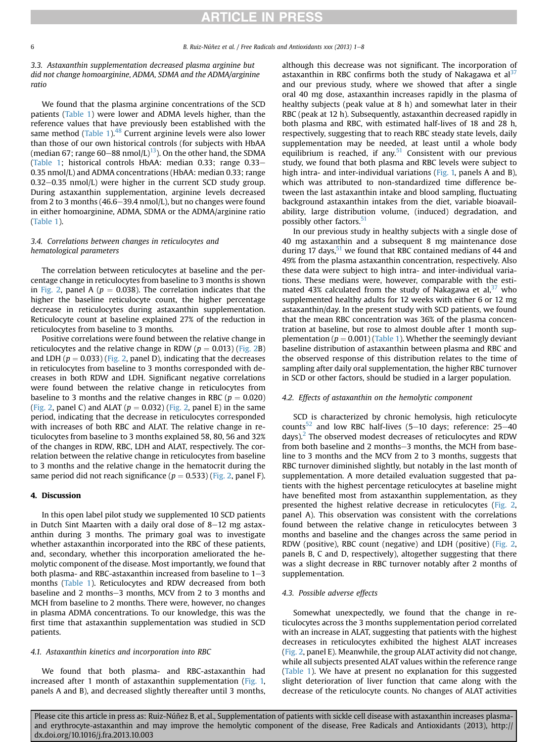3.3. Astaxanthin supplementation decreased plasma arginine but did not change homoarginine, ADMA, SDMA and the ADMA/arginine ratio

We found that the plasma arginine concentrations of the SCD patients ([Table 1\)](#page-1-0) were lower and ADMA levels higher, than the reference values that have previously been established with the same method ([Table 1](#page-1-0)).<sup>[48](#page-7-0)</sup> Current arginine levels were also lower than those of our own historical controls (for subjects with HbAA (median 67; range 60–88 nmol/L)<sup>[13](#page-6-0)</sup>). On the other hand, the SDMA ([Table 1](#page-1-0); historical controls HbAA: median 0.33; range  $0.33-$ 0.35 nmol/L) and ADMA concentrations (HbAA: median 0.33; range  $0.32-0.35$  nmol/L) were higher in the current SCD study group. During astaxanthin supplementation, arginine levels decreased from 2 to 3 months (46.6–39.4 nmol/L), but no changes were found in either homoarginine, ADMA, SDMA or the ADMA/arginine ratio ([Table 1\)](#page-1-0).

### 3.4. Correlations between changes in reticulocytes and hematological parameters

The correlation between reticulocytes at baseline and the percentage change in reticulocytes from baseline to 3 months is shown in [Fig. 2,](#page-3-0) panel A ( $p = 0.038$ ). The correlation indicates that the higher the baseline reticulocyte count, the higher percentage decrease in reticulocytes during astaxanthin supplementation. Reticulocyte count at baseline explained 27% of the reduction in reticulocytes from baseline to 3 months.

Positive correlations were found between the relative change in reticulocytes and the relative change in RDW ( $p = 0.013$ ) ([Fig. 2B](#page-3-0)) and LDH ( $p = 0.033$ ) [\(Fig. 2,](#page-3-0) panel D), indicating that the decreases in reticulocytes from baseline to 3 months corresponded with decreases in both RDW and LDH. Significant negative correlations were found between the relative change in reticulocytes from baseline to 3 months and the relative changes in RBC ( $p = 0.020$ ) ([Fig. 2](#page-3-0), panel C) and ALAT ( $p = 0.032$ ) [\(Fig. 2](#page-3-0), panel E) in the same period, indicating that the decrease in reticulocytes corresponded with increases of both RBC and ALAT. The relative change in reticulocytes from baseline to 3 months explained 58, 80, 56 and 32% of the changes in RDW, RBC, LDH and ALAT, respectively. The correlation between the relative change in reticulocytes from baseline to 3 months and the relative change in the hematocrit during the same period did not reach significance ( $p = 0.533$ ) ([Fig. 2,](#page-3-0) panel F).

#### 4. Discussion

In this open label pilot study we supplemented 10 SCD patients in Dutch Sint Maarten with a daily oral dose of  $8-12$  mg astaxanthin during 3 months. The primary goal was to investigate whether astaxanthin incorporated into the RBC of these patients, and, secondary, whether this incorporation ameliorated the hemolytic component of the disease. Most importantly, we found that both plasma- and RBC-astaxanthin increased from baseline to  $1-3$ months ([Table 1\)](#page-1-0). Reticulocytes and RDW decreased from both baseline and 2 months-3 months, MCV from 2 to 3 months and MCH from baseline to 2 months. There were, however, no changes in plasma ADMA concentrations. To our knowledge, this was the first time that astaxanthin supplementation was studied in SCD patients.

#### 4.1. Astaxanthin kinetics and incorporation into RBC

We found that both plasma- and RBC-astaxanthin had increased after 1 month of astaxanthin supplementation ([Fig. 1,](#page-2-0) panels A and B), and decreased slightly thereafter until 3 months, although this decrease was not significant. The incorporation of astaxanthin in RBC confirms both the study of Nakagawa et  $al<sup>37</sup>$  $al<sup>37</sup>$  $al<sup>37</sup>$ and our previous study, where we showed that after a single oral 40 mg dose, astaxanthin increases rapidly in the plasma of healthy subjects (peak value at 8 h) and somewhat later in their RBC (peak at 12 h). Subsequently, astaxanthin decreased rapidly in both plasma and RBC, with estimated half-lives of 18 and 28 h, respectively, suggesting that to reach RBC steady state levels, daily supplementation may be needed, at least until a whole body equilibrium is reached, if any. $51$  Consistent with our previous study, we found that both plasma and RBC levels were subject to high intra- and inter-individual variations ([Fig. 1,](#page-2-0) panels A and B), which was attributed to non-standardized time difference between the last astaxanthin intake and blood sampling, fluctuating background astaxanthin intakes from the diet, variable bioavailability, large distribution volume, (induced) degradation, and possibly other factors.<sup>[51](#page-7-0)</sup>

In our previous study in healthy subjects with a single dose of 40 mg astaxanthin and a subsequent 8 mg maintenance dose during 17 days,  $51$  we found that RBC contained medians of 44 and 49% from the plasma astaxanthin concentration, respectively. Also these data were subject to high intra- and inter-individual variations. These medians were, however, comparable with the estimated 43% calculated from the study of Nakagawa et al, $37$  who supplemented healthy adults for 12 weeks with either 6 or 12 mg astaxanthin/day. In the present study with SCD patients, we found that the mean RBC concentration was 36% of the plasma concentration at baseline, but rose to almost double after 1 month supplementation ( $p = 0.001$ ) [\(Table 1\)](#page-1-0). Whether the seemingly deviant baseline distribution of astaxanthin between plasma and RBC and the observed response of this distribution relates to the time of sampling after daily oral supplementation, the higher RBC turnover in SCD or other factors, should be studied in a larger population.

#### 4.2. Effects of astaxanthin on the hemolytic component

SCD is characterized by chronic hemolysis, high reticulocyte counts<sup>[52](#page-7-0)</sup> and low RBC half-lives (5–10 days; reference: 25–40 days). $<sup>2</sup>$  $<sup>2</sup>$  $<sup>2</sup>$  The observed modest decreases of reticulocytes and RDW</sup> from both baseline and 2 months-3 months, the MCH from baseline to 3 months and the MCV from 2 to 3 months, suggests that RBC turnover diminished slightly, but notably in the last month of supplementation. A more detailed evaluation suggested that patients with the highest percentage reticulocytes at baseline might have benefited most from astaxanthin supplementation, as they presented the highest relative decrease in reticulocytes [\(Fig. 2,](#page-3-0) panel A). This observation was consistent with the correlations found between the relative change in reticulocytes between 3 months and baseline and the changes across the same period in RDW (positive), RBC count (negative) and LDH (positive) ([Fig. 2,](#page-3-0) panels B, C and D, respectively), altogether suggesting that there was a slight decrease in RBC turnover notably after 2 months of supplementation.

#### 4.3. Possible adverse effects

Somewhat unexpectedly, we found that the change in reticulocytes across the 3 months supplementation period correlated with an increase in ALAT, suggesting that patients with the highest decreases in reticulocytes exhibited the highest ALAT increases ([Fig. 2](#page-3-0), panel E). Meanwhile, the group ALAT activity did not change, while all subjects presented ALAT values within the reference range ([Table 1](#page-1-0)). We have at present no explanation for this suggested slight deterioration of liver function that came along with the decrease of the reticulocyte counts. No changes of ALAT activities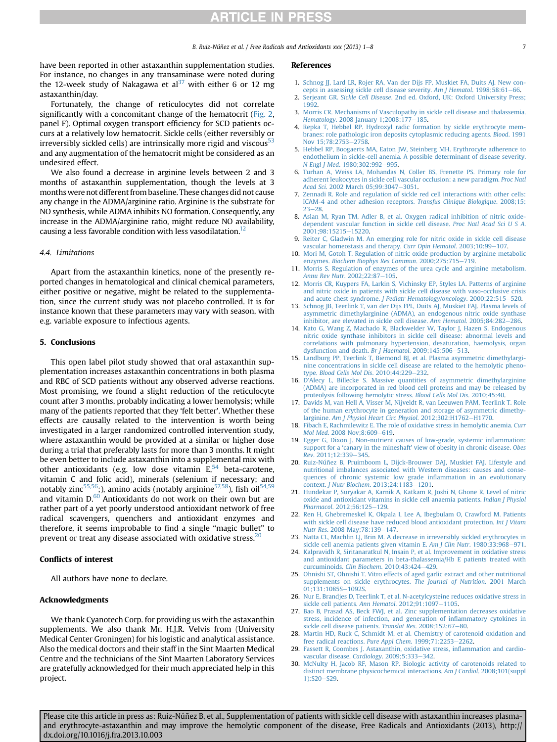<span id="page-6-0"></span>have been reported in other astaxanthin supplementation studies. For instance, no changes in any transaminase were noted during the 12-week study of Nakagawa et  $al<sup>37</sup>$  $al<sup>37</sup>$  $al<sup>37</sup>$  with either 6 or 12 mg astaxanthin/day.

Fortunately, the change of reticulocytes did not correlate significantly with a concomitant change of the hematocrit [\(Fig. 2,](#page-3-0) panel F). Optimal oxygen transport efficiency for SCD patients occurs at a relatively low hematocrit. Sickle cells (either reversibly or irreversibly sickled cells) are intrinsically more rigid and viscous<sup>[53](#page-7-0)</sup> and any augmentation of the hematocrit might be considered as an undesired effect.

We also found a decrease in arginine levels between 2 and 3 months of astaxanthin supplementation, though the levels at 3 months were not different from baseline. These changes did not cause any change in the ADMA/arginine ratio. Arginine is the substrate for NO synthesis, while ADMA inhibits NO formation. Consequently, any increase in the ADMA/arginine ratio, might reduce NO availability, causing a less favorable condition with less vasodilatation.<sup>12</sup>

#### 4.4. Limitations

Apart from the astaxanthin kinetics, none of the presently reported changes in hematological and clinical chemical parameters, either positive or negative, might be related to the supplementation, since the current study was not placebo controlled. It is for instance known that these parameters may vary with season, with e.g. variable exposure to infectious agents.

#### 5. Conclusions

This open label pilot study showed that oral astaxanthin supplementation increases astaxanthin concentrations in both plasma and RBC of SCD patients without any observed adverse reactions. Most promising, we found a slight reduction of the reticulocyte count after 3 months, probably indicating a lower hemolysis; while many of the patients reported that they 'felt better'. Whether these effects are causally related to the intervention is worth being investigated in a larger randomized controlled intervention study, where astaxanthin would be provided at a similar or higher dose during a trial that preferably lasts for more than 3 months. It might be even better to include astaxanthin into a supplemental mix with other antioxidants (e.g. low dose vitamin  $E<sub>54</sub>$  $E<sub>54</sub>$  $E<sub>54</sub>$  beta-carotene, vitamin C and folic acid), minerals (selenium if necessary; and notably zinc<sup>55,56</sup>;), amino acids (notably arginine<sup>57,58</sup>), fish oil<sup>[54,59](#page-7-0)</sup> and vitamin D.[60](#page-7-0) Antioxidants do not work on their own but are rather part of a yet poorly understood antioxidant network of free radical scavengers, quenchers and antioxidant enzymes and therefore, it seems improbable to find a single "magic bullet" to prevent or treat any disease associated with oxidative stress.<sup>20</sup>

#### Conflicts of interest

All authors have none to declare.

#### Acknowledgments

We thank Cyanotech Corp. for providing us with the astaxanthin supplements. We also thank Mr. H.J.R. Velvis from (University Medical Center Groningen) for his logistic and analytical assistance. Also the medical doctors and their staff in the Sint Maarten Medical Centre and the technicians of the Sint Maarten Laboratory Services are gratefully acknowledged for their much appreciated help in this project.

#### References

- 1. [Schnog JJ, Lard LR, Rojer RA, Van der Dijs FP, Muskiet FA, Duits AJ. New con](http://refhub.elsevier.com/S2231-2536(13)00047-7/sref1)[cepts in assessing sickle cell disease severity.](http://refhub.elsevier.com/S2231-2536(13)00047-7/sref1) Am J Hematol.  $1998;58:61-66$  $1998;58:61-66$ .
- 2. Serjeant GR. Sickle Cell Disease[. 2nd ed. Oxford, UK: Oxford University Press;](http://refhub.elsevier.com/S2231-2536(13)00047-7/sref2) [1992](http://refhub.elsevier.com/S2231-2536(13)00047-7/sref2).
- 3. [Morris CR. Mechanisms of Vasculopathy in sickle cell disease and thalassemia.](http://refhub.elsevier.com/S2231-2536(13)00047-7/sref3) Hematology[. 2008 January 1;2008:177](http://refhub.elsevier.com/S2231-2536(13)00047-7/sref3)-[185.](http://refhub.elsevier.com/S2231-2536(13)00047-7/sref3)
- 4. [Repka T, Hebbel RP. Hydroxyl radic formation by sickle erythrocyte mem](http://refhub.elsevier.com/S2231-2536(13)00047-7/sref4)[branes: role pathologic iron deposits cytoplasmic reducing agents.](http://refhub.elsevier.com/S2231-2536(13)00047-7/sref4) Blood. 1991 Nov 15:78:2753-[2758.](http://refhub.elsevier.com/S2231-2536(13)00047-7/sref4)
- 5. [Hebbel RP, Boogaerts MA, Eaton JW, Steinberg MH. Erythrocyte adherence to](http://refhub.elsevier.com/S2231-2536(13)00047-7/sref5) [endothelium in sickle-cell anemia. A possible determinant of disease severity.](http://refhub.elsevier.com/S2231-2536(13)00047-7/sref5) N Engl J Med[. 1980;302:992](http://refhub.elsevier.com/S2231-2536(13)00047-7/sref5)-[995](http://refhub.elsevier.com/S2231-2536(13)00047-7/sref5).
- 6. [Turhan A, Weiss LA, Mohandas N, Coller BS, Frenette PS. Primary role for](http://refhub.elsevier.com/S2231-2536(13)00047-7/sref6) [adherent leukocytes in sickle cell vascular occlusion: a new paradigm.](http://refhub.elsevier.com/S2231-2536(13)00047-7/sref6) Proc Natl Acad Sci[. 2002 March 05;99:3047](http://refhub.elsevier.com/S2231-2536(13)00047-7/sref6)-[3051](http://refhub.elsevier.com/S2231-2536(13)00047-7/sref6).
- 7. [Zennadi R. Role and regulation of sickle red cell interactions with other cells:](http://refhub.elsevier.com/S2231-2536(13)00047-7/sref7) [ICAM-4 and other adhesion receptors.](http://refhub.elsevier.com/S2231-2536(13)00047-7/sref7) Transfus Clinique Biologique. 2008;15:  $23 - 28$  $23 - 28$  $23 - 28$
- 8. [Aslan M, Ryan TM, Adler B, et al. Oxygen radical inhibition of nitric oxide](http://refhub.elsevier.com/S2231-2536(13)00047-7/sref8)[dependent vascular function in sickle cell disease.](http://refhub.elsevier.com/S2231-2536(13)00047-7/sref8) Proc Natl Acad Sci U S A. [2001;98:15215](http://refhub.elsevier.com/S2231-2536(13)00047-7/sref8)-[15220](http://refhub.elsevier.com/S2231-2536(13)00047-7/sref8).
- 9. [Reiter C, Gladwin M. An emerging role for nitric oxide in sickle cell disease](http://refhub.elsevier.com/S2231-2536(13)00047-7/sref9) [vascular homeostasis and therapy.](http://refhub.elsevier.com/S2231-2536(13)00047-7/sref9) Curr Opin Hematol. 2003;10:99-[107](http://refhub.elsevier.com/S2231-2536(13)00047-7/sref9).
- 10. [Mori M, Gotoh T. Regulation of nitric oxide production by arginine metabolic](http://refhub.elsevier.com/S2231-2536(13)00047-7/sref10) enzymes. [Biochem Biophys Res Commun](http://refhub.elsevier.com/S2231-2536(13)00047-7/sref10). 2000;275:715-[719.](http://refhub.elsevier.com/S2231-2536(13)00047-7/sref10)
- 11. [Morris S. Regulation of enzymes of the urea cycle and arginine metabolism.](http://refhub.elsevier.com/S2231-2536(13)00047-7/sref11) [Annu Rev Nutr](http://refhub.elsevier.com/S2231-2536(13)00047-7/sref11). 2002;22:87-[105](http://refhub.elsevier.com/S2231-2536(13)00047-7/sref11).
- 12. [Morris CR, Kuypers FA, Larkin S, Vichinsky EP, Styles LA. Patterns of arginine](http://refhub.elsevier.com/S2231-2536(13)00047-7/sref12) [and nitric oxide in patients with sickle cell disease with vaso-occlusive crisis](http://refhub.elsevier.com/S2231-2536(13)00047-7/sref12) and acute chest syndrome. [J Pediatr Hematology/oncology](http://refhub.elsevier.com/S2231-2536(13)00047-7/sref12). 2000;22:515-[520.](http://refhub.elsevier.com/S2231-2536(13)00047-7/sref12)
- 13. [Schnog JB, Teerlink T, van der Dijs FPL, Duits AJ, Muskiet FAJ. Plasma levels of](http://refhub.elsevier.com/S2231-2536(13)00047-7/sref13) [asymmetric dimethylarginine \(ADMA\), an endogenous nitric oxide synthase](http://refhub.elsevier.com/S2231-2536(13)00047-7/sref13) [inhibitor, are elevated in sickle cell disease.](http://refhub.elsevier.com/S2231-2536(13)00047-7/sref13) Ann Hematol. 2005;84:282-[286](http://refhub.elsevier.com/S2231-2536(13)00047-7/sref13).
- 14. [Kato G, Wang Z, Machado R, Blackwelder W, Taylor J, Hazen S. Endogenous](http://refhub.elsevier.com/S2231-2536(13)00047-7/sref14) [nitric oxide synthase inhibitors in sickle cell disease: abnormal levels and](http://refhub.elsevier.com/S2231-2536(13)00047-7/sref14) [correlations with pulmonary hypertension, desaturation, haemolysis, organ](http://refhub.elsevier.com/S2231-2536(13)00047-7/sref14) [dysfunction and death.](http://refhub.elsevier.com/S2231-2536(13)00047-7/sref14) Br J Haematol. 2009;145:506-[513](http://refhub.elsevier.com/S2231-2536(13)00047-7/sref14).
- 15. [Landburg PP, Teerlink T, Biemond BJ, et al. Plasma asymmetric dimethylargi](http://refhub.elsevier.com/S2231-2536(13)00047-7/sref15)[nine concentrations in sickle cell disease are related to the hemolytic pheno-](http://refhub.elsevier.com/S2231-2536(13)00047-7/sref15)type. [Blood Cells Mol Dis](http://refhub.elsevier.com/S2231-2536(13)00047-7/sref15). 2010;44:229-[232.](http://refhub.elsevier.com/S2231-2536(13)00047-7/sref15)
- 16. D'[Alecy L, Billecke S. Massive quantities of asymmetric dimethylarginine](http://refhub.elsevier.com/S2231-2536(13)00047-7/sref16) [\(ADMA\) are incorporated in red blood cell proteins and may be released by](http://refhub.elsevier.com/S2231-2536(13)00047-7/sref16) [proteolysis following hemolytic stress.](http://refhub.elsevier.com/S2231-2536(13)00047-7/sref16) Blood Cells Mol Dis. 2010;45:40.
- 17. [Davids M, van Hell A, Visser M, Nijveldt R, van Leeuwen PAM, Teerlink T. Role](http://refhub.elsevier.com/S2231-2536(13)00047-7/sref17) [of the human erythrocyte in generation and storage of asymmetric dimethy-](http://refhub.elsevier.com/S2231-2536(13)00047-7/sref17)larginine. [Am J Physiol Heart Circ Physiol](http://refhub.elsevier.com/S2231-2536(13)00047-7/sref17). 2012;302:H1762-[H1770.](http://refhub.elsevier.com/S2231-2536(13)00047-7/sref17)
- 18. [Fibach E, Rachmilewitz E. The role of oxidative stress in hemolytic anemia.](http://refhub.elsevier.com/S2231-2536(13)00047-7/sref18) Curr Mol Med[. 2008 Nov;8:609](http://refhub.elsevier.com/S2231-2536(13)00047-7/sref18)-[619](http://refhub.elsevier.com/S2231-2536(13)00047-7/sref18).
- 19. [Egger G, Dixon J. Non-nutrient causes of low-grade, systemic in](http://refhub.elsevier.com/S2231-2536(13)00047-7/sref19)flammation: support for a 'canary in the mineshaft' [view of obesity in chronic disease.](http://refhub.elsevier.com/S2231-2536(13)00047-7/sref19) Obes Rev[. 2011;12:339](http://refhub.elsevier.com/S2231-2536(13)00047-7/sref19)-[345.](http://refhub.elsevier.com/S2231-2536(13)00047-7/sref19)
- 20. [Ruiz-Núñez B, Pruimboom L, Dijck-Brouwer DAJ, Muskiet FAJ. Lifestyle and](http://refhub.elsevier.com/S2231-2536(13)00047-7/sref20) [nutritional imbalances associated with Western diseases: causes and conse](http://refhub.elsevier.com/S2231-2536(13)00047-7/sref20)[quences of chronic systemic low grade in](http://refhub.elsevier.com/S2231-2536(13)00047-7/sref20)flammation in an evolutionary context. J Nutr Biochem[. 2013;24:1183](http://refhub.elsevier.com/S2231-2536(13)00047-7/sref20)-[1201.](http://refhub.elsevier.com/S2231-2536(13)00047-7/sref20)
- 21. [Hundekar P, Suryakar A, Karnik A, Katkam R, Joshi N, Ghone R. Level of nitric](http://refhub.elsevier.com/S2231-2536(13)00047-7/sref21) [oxide and antioxidant vitamins in sickle cell anaemia patients.](http://refhub.elsevier.com/S2231-2536(13)00047-7/sref21) Indian J Physiol Pharmacol[. 2012;56:125](http://refhub.elsevier.com/S2231-2536(13)00047-7/sref21)-[129](http://refhub.elsevier.com/S2231-2536(13)00047-7/sref21).
- 22. [Ren H, Ghebremeskel K, Okpala I, Lee A, Ibegbulam O, Crawford M. Patients](http://refhub.elsevier.com/S2231-2536(13)00047-7/sref22) [with sickle cell disease have reduced blood antioxidant protection.](http://refhub.elsevier.com/S2231-2536(13)00047-7/sref22) Int J Vitam Nutr Res. 2008 May: 78: 139-[147](http://refhub.elsevier.com/S2231-2536(13)00047-7/sref22).
- 23. [Natta CL, Machlin LJ, Brin M. A decrease in irreversibly sickled erythrocytes in](http://refhub.elsevier.com/S2231-2536(13)00047-7/sref23) [sickle cell anemia patients given vitamin E.](http://refhub.elsevier.com/S2231-2536(13)00047-7/sref23) Am J Clin Nutr.  $1980;33:968-971$ .
- 24. [Kalpravidh R, Siritanaratkul N, Insain P, et al. Improvement in oxidative stress](http://refhub.elsevier.com/S2231-2536(13)00047-7/sref24) [and antioxidant parameters in beta-thalassemia/Hb E patients treated with](http://refhub.elsevier.com/S2231-2536(13)00047-7/sref24) [curcuminoids.](http://refhub.elsevier.com/S2231-2536(13)00047-7/sref24) Clin Biochem.  $2010;43:424-429$ .
- 25. [Ohnishi ST, Ohnishi T. Vitro effects of aged garlic extract and other nutritional](http://refhub.elsevier.com/S2231-2536(13)00047-7/sref25) [supplements on sickle erythrocytes.](http://refhub.elsevier.com/S2231-2536(13)00047-7/sref25) The Journal of Nutrition. 2001 March 01:131:1085S-[1092S](http://refhub.elsevier.com/S2231-2536(13)00047-7/sref25).
- 26. [Nur E, Brandjes D, Teerlink T, et al. N-acetylcysteine reduces oxidative stress in](http://refhub.elsevier.com/S2231-2536(13)00047-7/sref26) [sickle cell patients.](http://refhub.elsevier.com/S2231-2536(13)00047-7/sref26) Ann Hematol.  $2012;91:1097-1105$  $2012;91:1097-1105$ .
- 27. [Bao B, Prasad AS, Beck FWJ, et al. Zinc supplementation decreases oxidative](http://refhub.elsevier.com/S2231-2536(13)00047-7/sref27) [stress, incidence of infection, and generation of in](http://refhub.elsevier.com/S2231-2536(13)00047-7/sref27)flammatory cytokines in [sickle cell disease patients.](http://refhub.elsevier.com/S2231-2536(13)00047-7/sref27) Translat Res. 2008;152:67-[80](http://refhub.elsevier.com/S2231-2536(13)00047-7/sref27).
- 28. [Martin HD, Ruck C, Schmidt M, et al. Chemistry of carotenoid oxidation and](http://refhub.elsevier.com/S2231-2536(13)00047-7/sref28) [free radical reactions.](http://refhub.elsevier.com/S2231-2536(13)00047-7/sref28) Pure Appl Chem. 1999;71:2253-[2262.](http://refhub.elsevier.com/S2231-2536(13)00047-7/sref28)
- 29. [Fassett R, Coombes J. Astaxanthin, oxidative stress, in](http://refhub.elsevier.com/S2231-2536(13)00047-7/sref29)flammation and cardio[vascular disease.](http://refhub.elsevier.com/S2231-2536(13)00047-7/sref29) Cardiology. 2009;5:333-[342.](http://refhub.elsevier.com/S2231-2536(13)00047-7/sref29)
- 30. [McNulty H, Jacob RF, Mason RP. Biologic activity of carotenoids related to](http://refhub.elsevier.com/S2231-2536(13)00047-7/sref30) [distinct membrane physicochemical interactions.](http://refhub.elsevier.com/S2231-2536(13)00047-7/sref30) Am J Cardiol. 2008;101(suppl [1\):S20](http://refhub.elsevier.com/S2231-2536(13)00047-7/sref30)-[S29](http://refhub.elsevier.com/S2231-2536(13)00047-7/sref30).